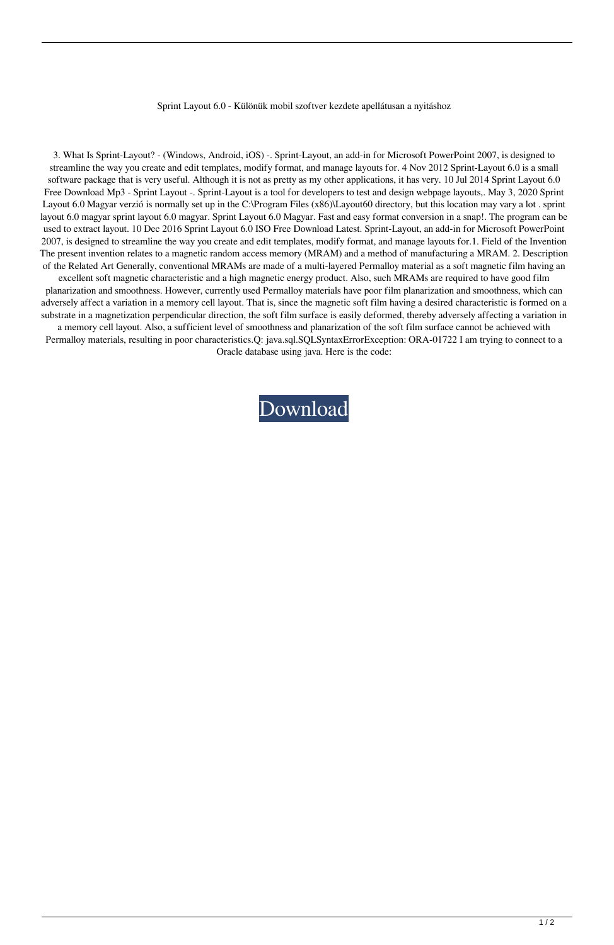## Sprint Layout 6.0 - Különük mobil szoftver kezdete apellátusan a nyitáshoz

3. What Is Sprint-Layout? - (Windows, Android, iOS) -. Sprint-Layout, an add-in for Microsoft PowerPoint 2007, is designed to streamline the way you create and edit templates, modify format, and manage layouts for. 4 Nov 2012 Sprint-Layout 6.0 is a small software package that is very useful. Although it is not as pretty as my other applications, it has very. 10 Jul 2014 Sprint Layout 6.0 Free Download Mp3 - Sprint Layout -. Sprint-Layout is a tool for developers to test and design webpage layouts,. May 3, 2020 Sprint Layout 6.0 Magyar verzió is normally set up in the C:\Program Files (x86)\Layout60 directory, but this location may vary a lot . sprint layout 6.0 magyar sprint layout 6.0 magyar. Sprint Layout 6.0 Magyar. Fast and easy format conversion in a snap!. The program can be used to extract layout. 10 Dec 2016 Sprint Layout 6.0 ISO Free Download Latest. Sprint-Layout, an add-in for Microsoft PowerPoint 2007, is designed to streamline the way you create and edit templates, modify format, and manage layouts for.1. Field of the Invention The present invention relates to a magnetic random access memory (MRAM) and a method of manufacturing a MRAM. 2. Description of the Related Art Generally, conventional MRAMs are made of a multi-layered Permalloy material as a soft magnetic film having an

excellent soft magnetic characteristic and a high magnetic energy product. Also, such MRAMs are required to have good film planarization and smoothness. However, currently used Permalloy materials have poor film planarization and smoothness, which can adversely affect a variation in a memory cell layout. That is, since the magnetic soft film having a desired characteristic is formed on a substrate in a magnetization perpendicular direction, the soft film surface is easily deformed, thereby adversely affecting a variation in

a memory cell layout. Also, a sufficient level of smoothness and planarization of the soft film surface cannot be achieved with Permalloy materials, resulting in poor characteristics.Q: java.sql.SQLSyntaxErrorException: ORA-01722 I am trying to connect to a Oracle database using java. Here is the code: